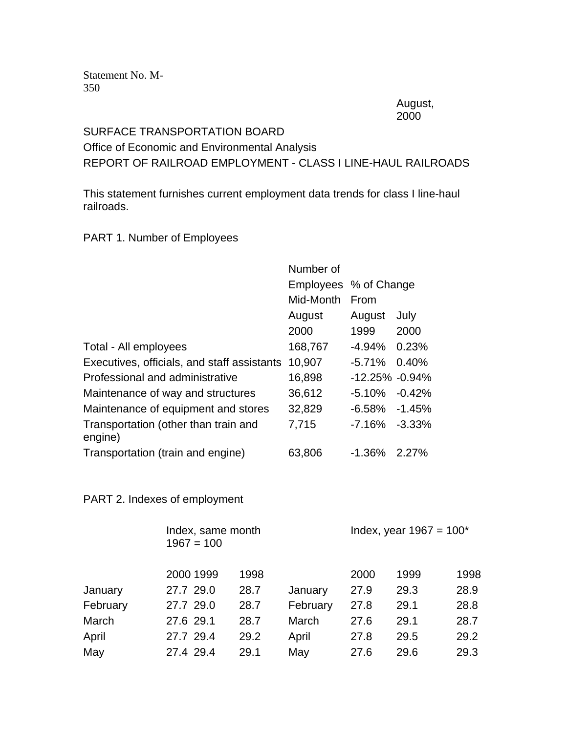Statement No. M-350

> August, 2000

## SURFACE TRANSPORTATION BOARD Office of Economic and Environmental Analysis REPORT OF RAILROAD EMPLOYMENT - CLASS I LINE-HAUL RAILROADS

This statement furnishes current employment data trends for class I line-haul railroads.

## PART 1. Number of Employees

|                                                 | Number of |                       |           |
|-------------------------------------------------|-----------|-----------------------|-----------|
|                                                 |           | Employees % of Change |           |
|                                                 | Mid-Month | From                  |           |
|                                                 | August    | August                | July      |
|                                                 | 2000      | 1999                  | 2000      |
| Total - All employees                           | 168,767   | $-4.94%$              | 0.23%     |
| Executives, officials, and staff assistants     | 10,907    | $-5.71%$              | 0.40%     |
| Professional and administrative                 | 16,898    | $-12.25\% -0.94\%$    |           |
| Maintenance of way and structures               | 36,612    | $-5.10\%$             | $-0.42%$  |
| Maintenance of equipment and stores             | 32,829    | -6.58%                | -1.45%    |
| Transportation (other than train and<br>engine) | 7,715     | $-7.16%$              | $-3.33\%$ |
| Transportation (train and engine)               | 63,806    | $-1.36%$              | 2.27%     |

## PART 2. Indexes of employment

|          | Index, same month<br>$1967 = 100$ |      |          | Index, year $1967 = 100^*$ |      |      |  |
|----------|-----------------------------------|------|----------|----------------------------|------|------|--|
|          | 2000 1999                         | 1998 |          | 2000                       | 1999 | 1998 |  |
| January  | 27.7 29.0                         | 28.7 | January  | 27.9                       | 29.3 | 28.9 |  |
| February | 27.7 29.0                         | 28.7 | February | 27.8                       | 29.1 | 28.8 |  |
| March    | 27.6 29.1                         | 28.7 | March    | 27.6                       | 29.1 | 28.7 |  |
| April    | 27.7 29.4                         | 29.2 | April    | 27.8                       | 29.5 | 29.2 |  |
| May      | 27.4 29.4                         | 29.1 | May      | 27.6                       | 29.6 | 29.3 |  |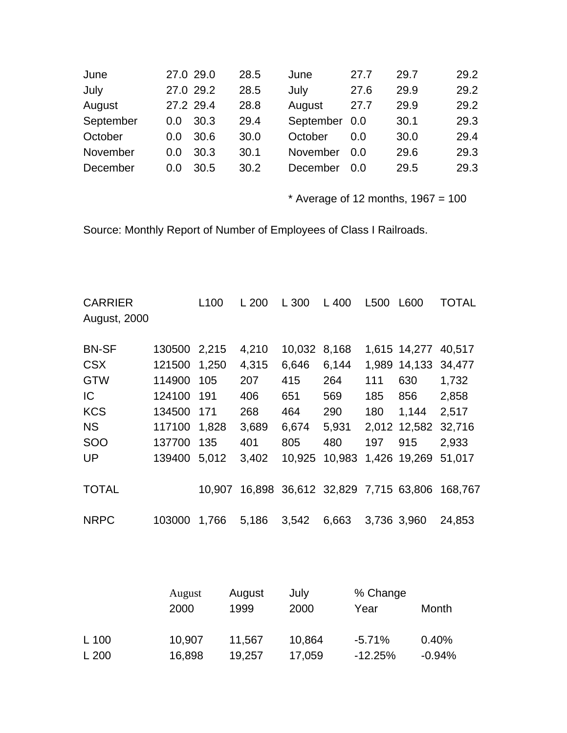| June      | 27.0 29.0 |      | 28.5 | June      | 27.7 | 29.7 | 29.2 |
|-----------|-----------|------|------|-----------|------|------|------|
| July      | 27.0 29.2 |      | 28.5 | July      | 27.6 | 29.9 | 29.2 |
| August    | 27.2 29.4 |      | 28.8 | August    | 27.7 | 29.9 | 29.2 |
| September | 0.0       | 30.3 | 29.4 | September | 0.0  | 30.1 | 29.3 |
| October   | 0.0       | 30.6 | 30.0 | October   | 0.O  | 30.0 | 29.4 |
| November  | 0.0       | 30.3 | 30.1 | November  | 0.0  | 29.6 | 29.3 |
| December  | 0.0       | 30.5 | 30.2 | December  | 0.O  | 29.5 | 29.3 |

 $*$  Average of 12 months, 1967 = 100

Source: Monthly Report of Number of Employees of Class I Railroads.

| <b>CARRIER</b><br><b>August, 2000</b> |              | L <sub>100</sub> | L 200  | L 300  | L 400                      | L500 | L600         | TOTAL   |
|---------------------------------------|--------------|------------------|--------|--------|----------------------------|------|--------------|---------|
| <b>BN-SF</b>                          | 130500 2,215 |                  | 4,210  | 10,032 | 8,168                      |      | 1,615 14,277 | 40,517  |
|                                       |              |                  |        |        |                            |      |              |         |
| <b>CSX</b>                            | 121500 1,250 |                  | 4,315  | 6,646  | 6,144                      |      | 1,989 14,133 | 34,477  |
| <b>GTW</b>                            | 114900 105   |                  | 207    | 415    | 264                        | 111  | 630          | 1,732   |
| IC                                    | 124100 191   |                  | 406    | 651    | 569                        | 185  | 856          | 2,858   |
| <b>KCS</b>                            | 134500 171   |                  | 268    | 464    | 290                        | 180  | 1,144        | 2,517   |
| <b>NS</b>                             | 117100 1,828 |                  | 3,689  | 6,674  | 5,931                      |      | 2,012 12,582 | 32,716  |
| <b>SOO</b>                            | 137700 135   |                  | 401    | 805    | 480                        | 197  | 915          | 2,933   |
| <b>UP</b>                             | 139400 5.012 |                  | 3,402  | 10,925 | 10,983                     |      | 1,426 19,269 | 51,017  |
| <b>TOTAL</b>                          |              | 10,907           | 16,898 |        | 36,612 32,829 7,715 63,806 |      |              | 168,767 |
| <b>NRPC</b>                           | 103000       | 1,766            | 5,186  | 3,542  | 6,663                      |      | 3,736 3,960  | 24,853  |

|       | August | August | July   | % Change  |          |  |
|-------|--------|--------|--------|-----------|----------|--|
|       | 2000   | 1999   | 2000   | Year      | Month    |  |
|       |        |        |        |           |          |  |
| L 100 | 10,907 | 11,567 | 10,864 | $-5.71\%$ | 0.40%    |  |
| L200  | 16,898 | 19,257 | 17,059 | $-12.25%$ | $-0.94%$ |  |